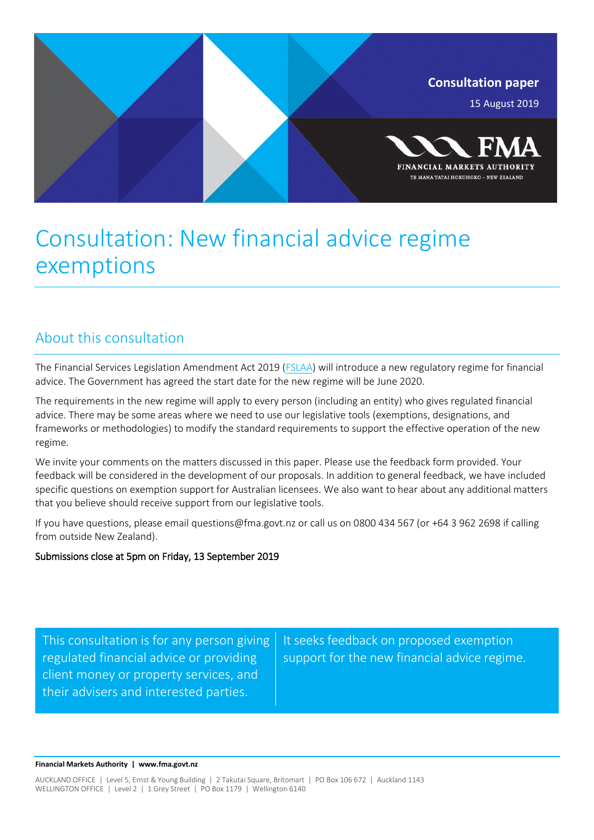

# Consultation: New financial advice regime exemptions

## About this consultation

The Financial Services Legislation Amendment Act 2019 [\(FSLAA\)](http://www.legislation.govt.nz/act/public/2019/0008/latest/whole.html) will introduce a new regulatory regime for financial advice. The Government has agreed the start date for the new regime will be June 2020.

The requirements in the new regime will apply to every person (including an entity) who gives regulated financial advice. There may be some areas where we need to use our legislative tools (exemptions, designations, and frameworks or methodologies) to modify the standard requirements to support the effective operation of the new regime.

We invite your comments on the matters discussed in this paper. Please use the feedback form provided. Your feedback will be considered in the development of our proposals. In addition to general feedback, we have included specific questions on exemption support for Australian licensees. We also want to hear about any additional matters that you believe should receive support from our legislative tools.

If you have questions, please email questions@fma.govt.nz or call us on 0800 434 567 (or +64 3 962 2698 if calling from outside New Zealand).

## Submissions close at 5pm on Friday, 13 September 2019

This consultation is for any person giving regulated financial advice or providing client money or property services, and their advisers and interested parties.

It seeks feedback on proposed exemption support for the new financial advice regime.

**Financial Markets Authority | www.fma.govt.nz**

AUCKLAND OFFICE | Level 5, Ernst & Young Building | 2 Takutai Square, Britomart | PO Box 106 672 | Auckland 1143 WELLINGTON OFFICE | Level 2 | 1 Grey Street | PO Box 1179 | Wellington 6140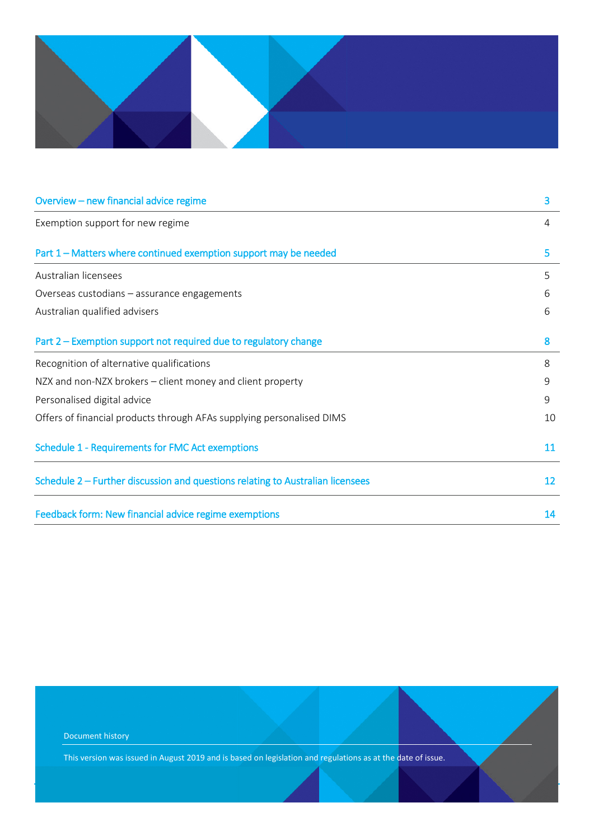

| Overview - new financial advice regime                                         | 3  |  |
|--------------------------------------------------------------------------------|----|--|
| Exemption support for new regime                                               | 4  |  |
| Part 1 – Matters where continued exemption support may be needed               | 5  |  |
| Australian licensees                                                           | 5  |  |
| Overseas custodians – assurance engagements                                    |    |  |
| Australian qualified advisers                                                  | 6  |  |
| Part 2 – Exemption support not required due to regulatory change               | 8  |  |
| Recognition of alternative qualifications                                      | 8  |  |
| NZX and non-NZX brokers – client money and client property                     | 9  |  |
| Personalised digital advice                                                    |    |  |
| Offers of financial products through AFAs supplying personalised DIMS          |    |  |
| Schedule 1 - Requirements for FMC Act exemptions                               |    |  |
| Schedule 2 – Further discussion and questions relating to Australian licensees |    |  |
| Feedback form: New financial advice regime exemptions                          | 14 |  |

Document history This version was issued in August 2019 and is based on legislation and regulations as at the date of issue.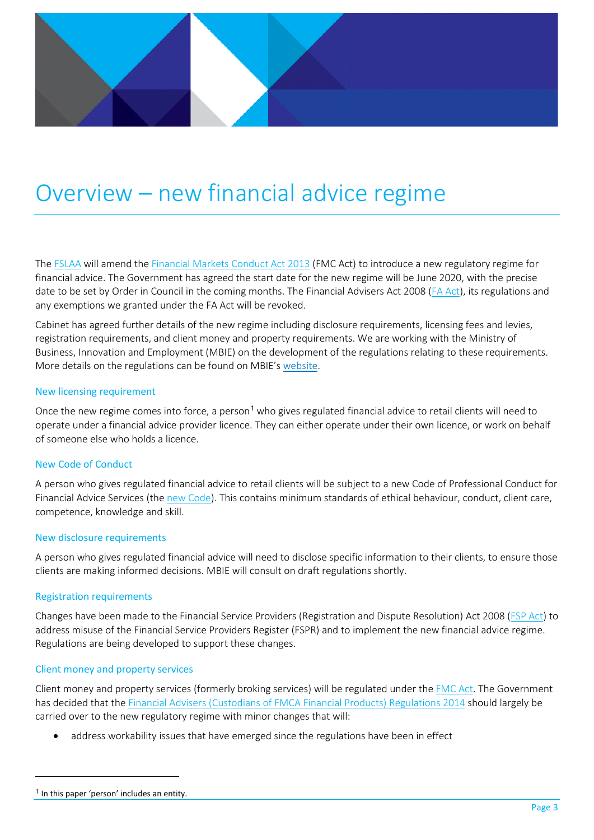# <span id="page-2-0"></span>Overview – new financial advice regime

The [FSLAA](http://www.legislation.govt.nz/act/public/2019/0008/latest/whole.html) will amend the [Financial Markets Conduct Act 2013](http://www.legislation.govt.nz/act/public/2013/0069/latest/whole.html) (FMC Act) to introduce a new regulatory regime for financial advice. The Government has agreed the start date for the new regime will be June 2020, with the precise date to be set by Order in Council in the coming months. The Financial Advisers Act 2008 [\(FA Act\)](http://www.legislation.govt.nz/act/public/2008/0091/latest/whole.htmlhttp:/www.legislation.govt.nz/act/public/2008/0091/latest/whole.html), its regulations and any exemptions we granted under the FA Act will be revoked.

Cabinet has agreed further details of the new regime including disclosure requirements, licensing fees and levies, registration requirements, and client money and property requirements. We are working with the Ministry of Business, Innovation and Employment (MBIE) on the development of the regulations relating to these requirements. More details on the regulations can be found on MBIE's [website.](https://www.mbie.govt.nz/business-and-employment/business/financial-markets-regulation/regulation-of-financial-advice/regulations-to-support-the-financial-services-legislation-amendment-act/)

### New licensing requirement

Once the new regime comes into force, a person<sup>[1](#page-2-1)</sup> who gives regulated financial advice to retail clients will need to operate under a financial advice provider licence. They can either operate under their own licence, or work on behalf of someone else who holds a licence.

### New Code of Conduct

A person who gives regulated financial advice to retail clients will be subject to a new Code of Professional Conduct for Financial Advice Services (the [new Code\)](https://www.mbie.govt.nz/assets/a96d1b4800/code-of-professional-conduct-for-financial-advice-services.pdf). This contains minimum standards of ethical behaviour, conduct, client care, competence, knowledge and skill.

### New disclosure requirements

A person who gives regulated financial advice will need to disclose specific information to their clients, to ensure those clients are making informed decisions. MBIE will consult on draft regulations shortly.

### Registration requirements

Changes have been made to the Financial Service Providers (Registration and Dispute Resolution) Act 2008 [\(FSP Act\)](http://www.legislation.govt.nz/act/public/2008/0097/latest/DLM1109427.html) to address misuse of the Financial Service Providers Register (FSPR) and to implement the new financial advice regime. Regulations are being developed to support these changes.

### Client money and property services

Client money and property services (formerly broking services) will be regulated under the [FMC Act.](http://www.legislation.govt.nz/act/public/2013/0069/latest/whole.html) The Government has decided that th[e Financial Advisers \(Custodians of FMCA Financial Products\) Regulations 2014](http://www.legislation.govt.nz/regulation/public/2014/0048/latest/whole.html) should largely be carried over to the new regulatory regime with minor changes that will:

• address workability issues that have emerged since the regulations have been in effect

l

<span id="page-2-1"></span> $<sup>1</sup>$  In this paper 'person' includes an entity.</sup>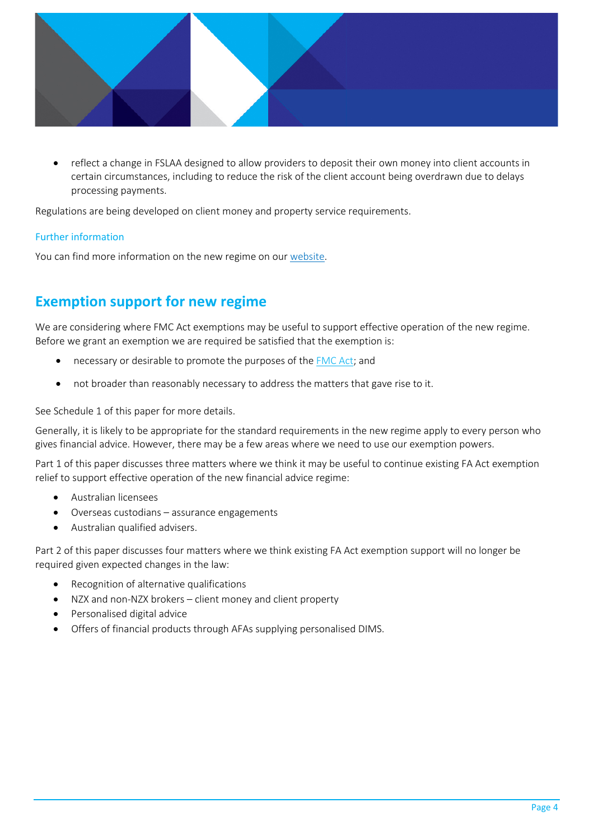

• reflect a change in FSLAA designed to allow providers to deposit their own money into client accounts in certain circumstances, including to reduce the risk of the client account being overdrawn due to delays processing payments.

Regulations are being developed on client money and property service requirements.

### Further information

<span id="page-3-0"></span>You can find more information on the new regime on our [website.](https://www.fma.govt.nz/compliance/role/fap-new-regime/)

## **Exemption support for new regime**

We are considering where FMC Act exemptions may be useful to support effective operation of the new regime. Before we grant an exemption we are required be satisfied that the exemption is:

- necessary or desirable to promote the purposes of the [FMC Act;](http://www.legislation.govt.nz/act/public/2013/0069/latest/whole.html) and
- not broader than reasonably necessary to address the matters that gave rise to it.

See Schedule 1 of this paper for more details.

Generally, it is likely to be appropriate for the standard requirements in the new regime apply to every person who gives financial advice. However, there may be a few areas where we need to use our exemption powers.

Part 1 of this paper discusses three matters where we think it may be useful to continue existing FA Act exemption relief to support effective operation of the new financial advice regime:

- Australian licensees
- Overseas custodians assurance engagements
- Australian qualified advisers.

Part 2 of this paper discusses four matters where we think existing FA Act exemption support will no longer be required given expected changes in the law:

- Recognition of alternative qualifications
- NZX and non-NZX brokers client money and client property
- Personalised digital advice
- Offers of financial products through AFAs supplying personalised DIMS.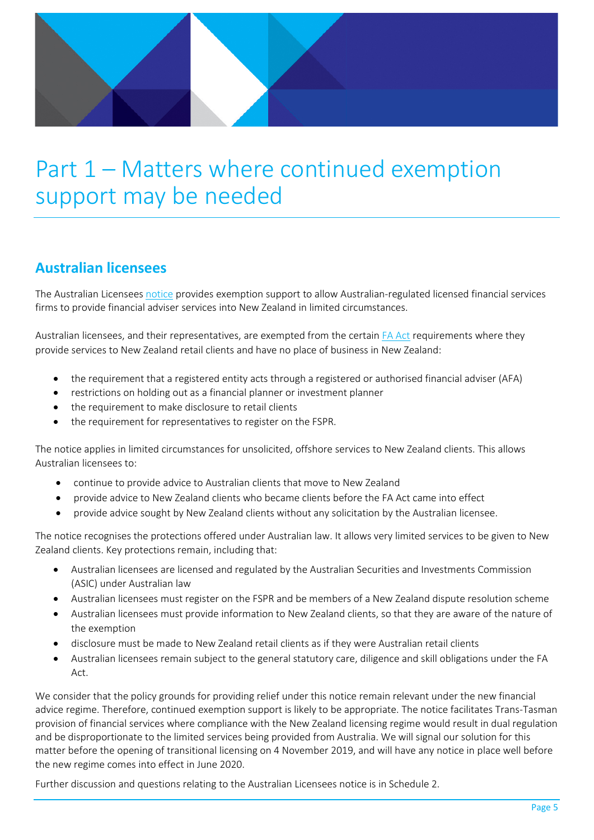

# <span id="page-4-0"></span>Part 1 – Matters where continued exemption support may be needed

# <span id="page-4-1"></span>**Australian licensees**

The Australian Licensees [notice](http://www.legislation.govt.nz/regulation/public/2011/0238/latest/whole.html#DLM3848033) provides exemption support to allow Australian-regulated licensed financial services firms to provide financial adviser services into New Zealand in limited circumstances.

Australian licensees, and their representatives, are exempted from the certain [FA Act](http://www.legislation.govt.nz/act/public/2008/0091/latest/DLM1584202.html?search=ad_act__financial+advisers+act____25_ac%40bn%40rn%40dn%40apub%40aloc%40apri%40apro%40aimp%40bgov%40bloc%40bpri%40bmem%40rpub%40rimp_ac%40ainf%40anif%40bcur%40rinf%40rnif_a_aw_se&p=1) requirements where they provide services to New Zealand retail clients and have no place of business in New Zealand:

- the requirement that a registered entity acts through a registered or authorised financial adviser (AFA)
- restrictions on holding out as a financial planner or investment planner
- the requirement to make disclosure to retail clients
- the requirement for representatives to register on the FSPR.

The notice applies in limited circumstances for unsolicited, offshore services to New Zealand clients. This allows Australian licensees to:

- continue to provide advice to Australian clients that move to New Zealand
- provide advice to New Zealand clients who became clients before the FA Act came into effect
- provide advice sought by New Zealand clients without any solicitation by the Australian licensee.

The notice recognises the protections offered under Australian law. It allows very limited services to be given to New Zealand clients. Key protections remain, including that:

- Australian licensees are licensed and regulated by the Australian Securities and Investments Commission (ASIC) under Australian law
- Australian licensees must register on the FSPR and be members of a New Zealand dispute resolution scheme
- Australian licensees must provide information to New Zealand clients, so that they are aware of the nature of the exemption
- disclosure must be made to New Zealand retail clients as if they were Australian retail clients
- Australian licensees remain subject to the general statutory care, diligence and skill obligations under the FA Act.

We consider that the policy grounds for providing relief under this notice remain relevant under the new financial advice regime. Therefore, continued exemption support is likely to be appropriate. The notice facilitates Trans-Tasman provision of financial services where compliance with the New Zealand licensing regime would result in dual regulation and be disproportionate to the limited services being provided from Australia. We will signal our solution for this matter before the opening of transitional licensing on 4 November 2019, and will have any notice in place well before the new regime comes into effect in June 2020.

Further discussion and questions relating to the Australian Licensees notice is in Schedule 2.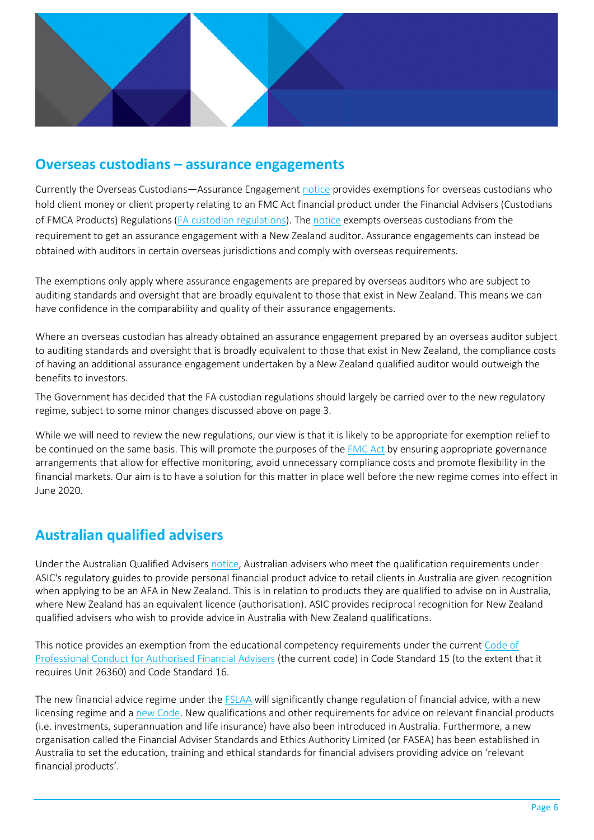

## <span id="page-5-0"></span>**Overseas custodians – assurance engagements**

Currently the Overseas Custodians—Assurance Engagement [notice](http://www.legislation.govt.nz/regulation/public/2018/0008/latest/whole.html) provides exemptions for overseas custodians who hold client money or client property relating to an FMC Act financial product under the Financial Advisers (Custodians of FMCA Products) Regulations [\(FA custodian regulations\)](http://www.legislation.govt.nz/regulation/public/2014/0048/latest/whole.html). The [notice](http://www.legislation.govt.nz/regulation/public/2018/0008/latest/whole.html) exempts overseas custodians from the requirement to get an assurance engagement with a New Zealand auditor. Assurance engagements can instead be obtained with auditors in certain overseas jurisdictions and comply with overseas requirements.

The exemptions only apply where assurance engagements are prepared by overseas auditors who are subject to auditing standards and oversight that are broadly equivalent to those that exist in New Zealand. This means we can have confidence in the comparability and quality of their assurance engagements.

Where an overseas custodian has already obtained an assurance engagement prepared by an overseas auditor subject to auditing standards and oversight that is broadly equivalent to those that exist in New Zealand, the compliance costs of having an additional assurance engagement undertaken by a New Zealand qualified auditor would outweigh the benefits to investors.

The Government has decided that the FA custodian regulations should largely be carried over to the new regulatory regime, subject to some minor changes discussed above on page 3.

While we will need to review the new regulations, our view is that it is likely to be appropriate for exemption relief to be continued on the same basis. This will promote the purposes of th[e FMC Act](http://www.legislation.govt.nz/act/public/2013/0069/latest/whole.html) by ensuring appropriate governance arrangements that allow for effective monitoring, avoid unnecessary compliance costs and promote flexibility in the financial markets. Our aim is to have a solution for this matter in place well before the new regime comes into effect in June 2020.

# <span id="page-5-1"></span>**Australian qualified advisers**

Under the Australian Qualified Adviser[s notice,](https://www.fma.govt.nz/assets/Exemption/FA-Australian-Qualified-Advisers-Exemption-Notice-2018.pdf) Australian advisers who meet the qualification requirements under ASIC's regulatory guides to provide personal financial product advice to retail clients in Australia are given recognition when applying to be an AFA in New Zealand. This is in relation to products they are qualified to advise on in Australia, where New Zealand has an equivalent licence (authorisation). ASIC provides reciprocal recognition for New Zealand qualified advisers who wish to provide advice in Australia with New Zealand qualifications.

This notice provides an exemption from the educational competency requirements under the current [Code of](http://www.financialadvisercode.govt.nz/assets/Code-of-Professional-Conduct-for-AFAs/161201-Code-of-Professional-Conduct-for-Authorised-Financial-Advisers.pdf)  [Professional Conduct for Authorised Financial Advisers](http://www.financialadvisercode.govt.nz/assets/Code-of-Professional-Conduct-for-AFAs/161201-Code-of-Professional-Conduct-for-Authorised-Financial-Advisers.pdf) (the current code) in Code Standard 15 (to the extent that it requires Unit 26360) and Code Standard 16.

The new financial advice regime under the **[FSLAA](http://www.legislation.govt.nz/act/public/2019/0008/latest/whole.html)** will significantly change regulation of financial advice, with a new licensing regime and a [new Code.](https://www.mbie.govt.nz/assets/a96d1b4800/code-of-professional-conduct-for-financial-advice-services.pdf) New qualifications and other requirements for advice on relevant financial products (i.e. investments, superannuation and life insurance) have also been introduced in Australia. Furthermore, a new organisation called the Financial Adviser Standards and Ethics Authority Limited (or FASEA) has been established in Australia to set the education, training and ethical standards for financial advisers providing advice on 'relevant financial products'.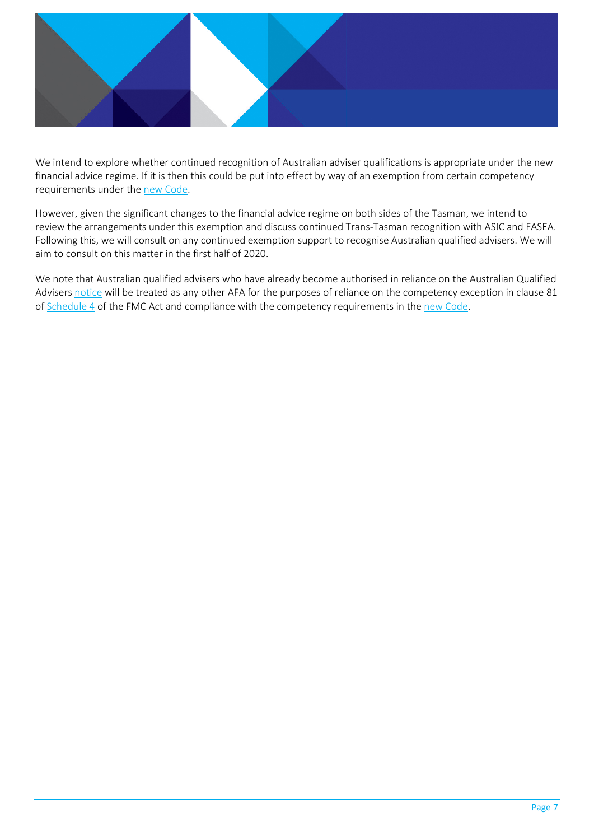

We intend to explore whether continued recognition of Australian adviser qualifications is appropriate under the new financial advice regime. If it is then this could be put into effect by way of an exemption from certain competency requirements under the [new Code.](https://www.mbie.govt.nz/assets/a96d1b4800/code-of-professional-conduct-for-financial-advice-services.pdf)

However, given the significant changes to the financial advice regime on both sides of the Tasman, we intend to review the arrangements under this exemption and discuss continued Trans-Tasman recognition with ASIC and FASEA. Following this, we will consult on any continued exemption support to recognise Australian qualified advisers. We will aim to consult on this matter in the first half of 2020.

We note that Australian qualified advisers who have already become authorised in reliance on the Australian Qualified Advisers [notice](https://www.fma.govt.nz/assets/Exemption/FA-Australian-Qualified-Advisers-Exemption-Notice-2018.pdf) will be treated as any other AFA for the purposes of reliance on the competency exception in clause 81 of [Schedule 4](http://www.legislation.govt.nz/act/public/2019/0008/latest/whole.html#DLM7386625) of the FMC Act and compliance with the competency requirements in the [new Code.](https://www.mbie.govt.nz/assets/a96d1b4800/code-of-professional-conduct-for-financial-advice-services.pdf)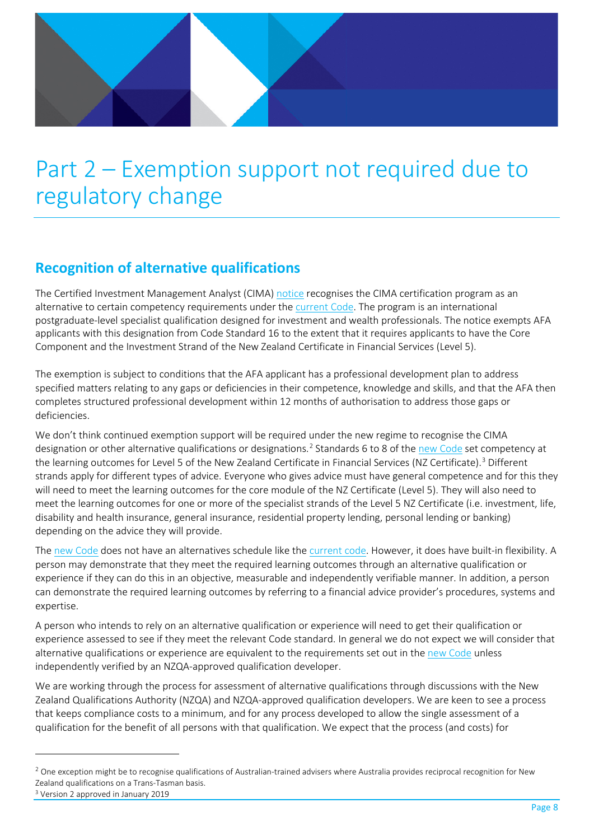# <span id="page-7-0"></span>Part 2 – Exemption support not required due to regulatory change

# <span id="page-7-1"></span>**Recognition of alternative qualifications**

l

The Certified Investment Management Analyst (CIMA) [notice](https://www.fma.govt.nz/compliance/exemptions/current-exemption-notices/financial-advisers-act-exemptions/financial-advisers-certified-investment-management-analyst-exemption-notice-2017/) recognises the CIMA certification program as an alternative to certain competency requirements under the [current Code.](http://www.financialadvisercode.govt.nz/assets/Code-of-Professional-Conduct-for-AFAs/161201-Code-of-Professional-Conduct-for-Authorised-Financial-Advisers.pdf) The program is an international postgraduate-level specialist qualification designed for investment and wealth professionals. The notice exempts AFA applicants with this designation from Code Standard 16 to the extent that it requires applicants to have the Core Component and the Investment Strand of the New Zealand Certificate in Financial Services (Level 5).

The exemption is subject to conditions that the AFA applicant has a professional development plan to address specified matters relating to any gaps or deficiencies in their competence, knowledge and skills, and that the AFA then completes structured professional development within 12 months of authorisation to address those gaps or deficiencies.

We don't think continued exemption support will be required under the new regime to recognise the CIMA designation or other alternative qualifications or designations.<sup>[2](#page-7-2)</sup> Standards 6 to 8 of the [new Code](https://www.mbie.govt.nz/assets/a96d1b4800/code-of-professional-conduct-for-financial-advice-services.pdf) set competency at the learning outcomes for Level 5 of the New Zealand Certificate in Financial Services (NZ Certificate). [3](#page-7-3) Different strands apply for different types of advice. Everyone who gives advice must have general competence and for this they will need to meet the learning outcomes for the core module of the NZ Certificate (Level 5). They will also need to meet the learning outcomes for one or more of the specialist strands of the Level 5 NZ Certificate (i.e. investment, life, disability and health insurance, general insurance, residential property lending, personal lending or banking) depending on the advice they will provide.

The [new Code](https://www.mbie.govt.nz/assets/a96d1b4800/code-of-professional-conduct-for-financial-advice-services.pdf) does not have an alternatives schedule like the [current code.](http://www.financialadvisercode.govt.nz/assets/Code-of-Professional-Conduct-for-AFAs/161201-Code-of-Professional-Conduct-for-Authorised-Financial-Advisers.pdf) However, it does have built-in flexibility. A person may demonstrate that they meet the required learning outcomes through an alternative qualification or experience if they can do this in an objective, measurable and independently verifiable manner. In addition, a person can demonstrate the required learning outcomes by referring to a financial advice provider's procedures, systems and expertise.

A person who intends to rely on an alternative qualification or experience will need to get their qualification or experience assessed to see if they meet the relevant Code standard. In general we do not expect we will consider that alternative qualifications or experience are equivalent to the requirements set out in the [new Code](https://www.mbie.govt.nz/assets/a96d1b4800/code-of-professional-conduct-for-financial-advice-services.pdf) unless independently verified by an NZQA-approved qualification developer.

We are working through the process for assessment of alternative qualifications through discussions with the New Zealand Qualifications Authority (NZQA) and NZQA-approved qualification developers. We are keen to see a process that keeps compliance costs to a minimum, and for any process developed to allow the single assessment of a qualification for the benefit of all persons with that qualification. We expect that the process (and costs) for

<span id="page-7-3"></span><span id="page-7-2"></span> $2$  One exception might be to recognise qualifications of Australian-trained advisers where Australia provides reciprocal recognition for New Zealand qualifications on a Trans-Tasman basis.<br><sup>3</sup> Version 2 approved in January 2019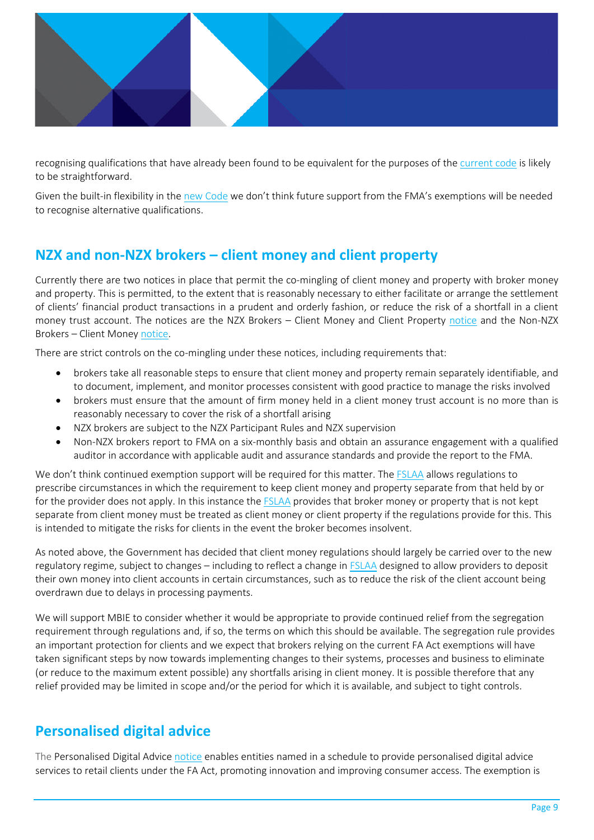

recognising qualifications that have already been found to be equivalent for the purposes of the [current code](http://www.financialadvisercode.govt.nz/assets/Code-of-Professional-Conduct-for-AFAs/161201-Code-of-Professional-Conduct-for-Authorised-Financial-Advisers.pdf) is likely to be straightforward.

Given the built-in flexibility in the [new Code](https://www.mbie.govt.nz/assets/a96d1b4800/code-of-professional-conduct-for-financial-advice-services.pdf) we don't think future support from the FMA's exemptions will be needed to recognise alternative qualifications.

# <span id="page-8-0"></span>**NZX and non-NZX brokers – client money and client property**

Currently there are two notices in place that permit the co-mingling of client money and property with broker money and property. This is permitted, to the extent that is reasonably necessary to either facilitate or arrange the settlement of clients' financial product transactions in a prudent and orderly fashion, or reduce the risk of a shortfall in a client money trust account. The notices are the NZX Brokers – Client Money and Client Property [notice](http://www.legislation.govt.nz/regulation/public/2015/0298/latest/DLM6666618.html?src=qs) and the Non-NZX Brokers – Client Money [notice.](http://www.legislation.govt.nz/regulation/public/2017/0169/latest/DLM7368601.html?search=qs_act%40bill%40regulation%40deemedreg_non-NZX_resel_25_h&p=1&sr=1)

There are strict controls on the co-mingling under these notices, including requirements that:

- brokers take all reasonable steps to ensure that client money and property remain separately identifiable, and to document, implement, and monitor processes consistent with good practice to manage the risks involved
- brokers must ensure that the amount of firm money held in a client money trust account is no more than is reasonably necessary to cover the risk of a shortfall arising
- NZX brokers are subject to the NZX Participant Rules and NZX supervision
- Non-NZX brokers report to FMA on a six-monthly basis and obtain an assurance engagement with a qualified auditor in accordance with applicable audit and assurance standards and provide the report to the FMA.

We don't think continued exemption support will be required for this matter. The [FSLAA](http://www.legislation.govt.nz/act/public/2019/0008/latest/whole.html) allows regulations to prescribe circumstances in which the requirement to keep client money and property separate from that held by or for the provider does not apply. In this instance the [FSLAA](http://www.legislation.govt.nz/act/public/2019/0008/latest/whole.html) provides that broker money or property that is not kept separate from client money must be treated as client money or client property if the regulations provide for this. This is intended to mitigate the risks for clients in the event the broker becomes insolvent.

As noted above, the Government has decided that client money regulations should largely be carried over to the new regulatory regime, subject to changes – including to reflect a change i[n FSLAA](http://www.legislation.govt.nz/act/public/2019/0008/latest/whole.html) designed to allow providers to deposit their own money into client accounts in certain circumstances, such as to reduce the risk of the client account being overdrawn due to delays in processing payments.

We will support MBIE to consider whether it would be appropriate to provide continued relief from the segregation requirement through regulations and, if so, the terms on which this should be available. The segregation rule provides an important protection for clients and we expect that brokers relying on the current FA Act exemptions will have taken significant steps by now towards implementing changes to their systems, processes and business to eliminate (or reduce to the maximum extent possible) any shortfalls arising in client money. It is possible therefore that any relief provided may be limited in scope and/or the period for which it is available, and subject to tight controls.

# <span id="page-8-1"></span>**Personalised digital advice**

The Personalised Digital Advice [notice](http://legislation.govt.nz/regulation/public/2018/0067/latest/whole.html) enables entities named in a schedule to provide personalised digital advice services to retail clients under the FA Act, promoting innovation and improving consumer access. The exemption is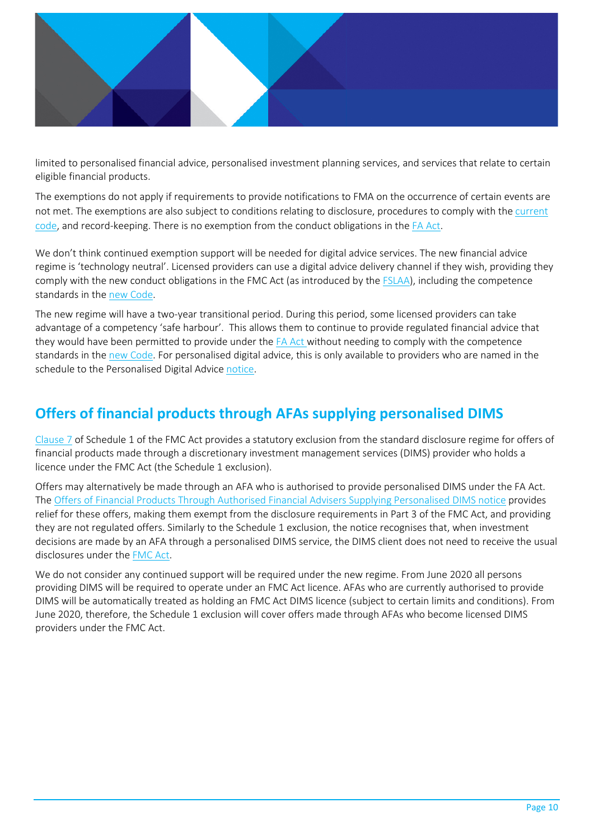

limited to personalised financial advice, personalised investment planning services, and services that relate to certain eligible financial products.

The exemptions do not apply if requirements to provide notifications to FMA on the occurrence of certain events are not met. The exemptions are also subject to conditions relating to disclosure, procedures to comply with the [current](http://www.financialadvisercode.govt.nz/assets/Code-of-Professional-Conduct-for-AFAs/161201-Code-of-Professional-Conduct-for-Authorised-Financial-Advisers.pdf)  [code,](http://www.financialadvisercode.govt.nz/assets/Code-of-Professional-Conduct-for-AFAs/161201-Code-of-Professional-Conduct-for-Authorised-Financial-Advisers.pdf) and record-keeping. There is no exemption from the conduct obligations in the [FA Act.](http://www.legislation.govt.nz/act/public/2008/0091/latest/whole.htmlhttp:/www.legislation.govt.nz/act/public/2008/0091/latest/whole.html)

We don't think continued exemption support will be needed for digital advice services. The new financial advice regime is 'technology neutral'. Licensed providers can use a digital advice delivery channel if they wish, providing they comply with the new conduct obligations in the FMC Act (as introduced by the [FSLAA\)](http://www.legislation.govt.nz/act/public/2019/0008/latest/whole.html), including the competence standards in the [new Code.](https://www.mbie.govt.nz/assets/a96d1b4800/code-of-professional-conduct-for-financial-advice-services.pdf) 

The new regime will have a two-year transitional period. During this period, some licensed providers can take advantage of a competency 'safe harbour'. This allows them to continue to provide regulated financial advice that they would have been permitted to provide under the [FA Act](http://www.legislation.govt.nz/act/public/2008/0091/latest/whole.htmlhttp:/www.legislation.govt.nz/act/public/2008/0091/latest/whole.html) without needing to comply with the competence standards in the [new Code.](https://www.mbie.govt.nz/assets/a96d1b4800/code-of-professional-conduct-for-financial-advice-services.pdf) For personalised digital advice, this is only available to providers who are named in the schedule to the Personalised Digital Advice [notice.](http://legislation.govt.nz/regulation/public/2018/0067/latest/whole.html)

# <span id="page-9-0"></span>**Offers of financial products through AFAs supplying personalised DIMS**

[Clause 7](http://www.legislation.govt.nz/act/public/2013/0069/latest/whole.html#DLM4092386) of Schedule 1 of the FMC Act provides a statutory exclusion from the standard disclosure regime for offers of financial products made through a discretionary investment management services (DIMS) provider who holds a licence under the FMC Act (the Schedule 1 exclusion).

Offers may alternatively be made through an AFA who is authorised to provide personalised DIMS under the FA Act. The [Offers of Financial Products Through Authorised Financial Advisers Supplying Personalised DIMS notice](http://www.legislation.govt.nz/regulation/public/2015/0254/latest/DLM6639201.html?search=ad_regulation__financial+markets+conduct____25_an%40bn%40rc%40dn%40apub%40aloc%40apri%40apro%40aimp%40bgov%40bloc%40bpri%40bmem%40rpub%40rimp_rc%40ainf%40anif%40bcur%40rinf%40rnif%40raif%40rasm%40rrev_a_aw_se&p=1) provides relief for these offers, making them exempt from the disclosure requirements in Part 3 of the FMC Act, and providing they are not regulated offers. Similarly to the Schedule 1 exclusion, the notice recognises that, when investment decisions are made by an AFA through a personalised DIMS service, the DIMS client does not need to receive the usual disclosures under th[e FMC Act.](http://www.legislation.govt.nz/act/public/2013/0069/latest/whole.html)

We do not consider any continued support will be required under the new regime. From June 2020 all persons providing DIMS will be required to operate under an FMC Act licence. AFAs who are currently authorised to provide DIMS will be automatically treated as holding an FMC Act DIMS licence (subject to certain limits and conditions). From June 2020, therefore, the Schedule 1 exclusion will cover offers made through AFAs who become licensed DIMS providers under the FMC Act.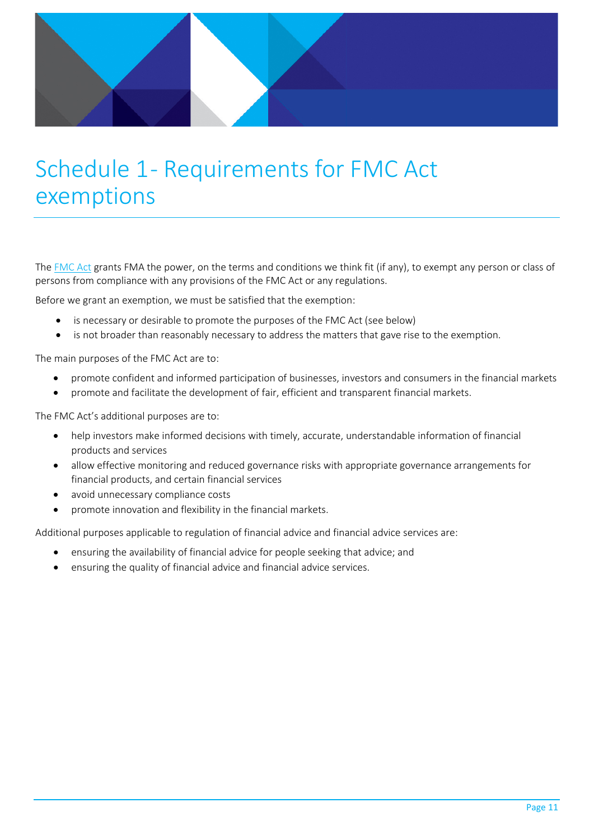

# <span id="page-10-0"></span>Schedule 1- Requirements for FMC Act exemptions

The [FMC Act](http://www.legislation.govt.nz/act/public/2013/0069/latest/whole.html) grants FMA the power, on the terms and conditions we think fit (if any), to exempt any person or class of persons from compliance with any provisions of the FMC Act or any regulations.

Before we grant an exemption, we must be satisfied that the exemption:

- is necessary or desirable to promote the purposes of the FMC Act (see below)
- is not broader than reasonably necessary to address the matters that gave rise to the exemption.

The main purposes of the FMC Act are to:

- promote confident and informed participation of businesses, investors and consumers in the financial markets
- promote and facilitate the development of fair, efficient and transparent financial markets.

The FMC Act's additional purposes are to:

- help investors make informed decisions with timely, accurate, understandable information of financial products and services
- allow effective monitoring and reduced governance risks with appropriate governance arrangements for financial products, and certain financial services
- avoid unnecessary compliance costs
- promote innovation and flexibility in the financial markets.

Additional purposes applicable to regulation of financial advice and financial advice services are:

- ensuring the availability of financial advice for people seeking that advice; and
- ensuring the quality of financial advice and financial advice services.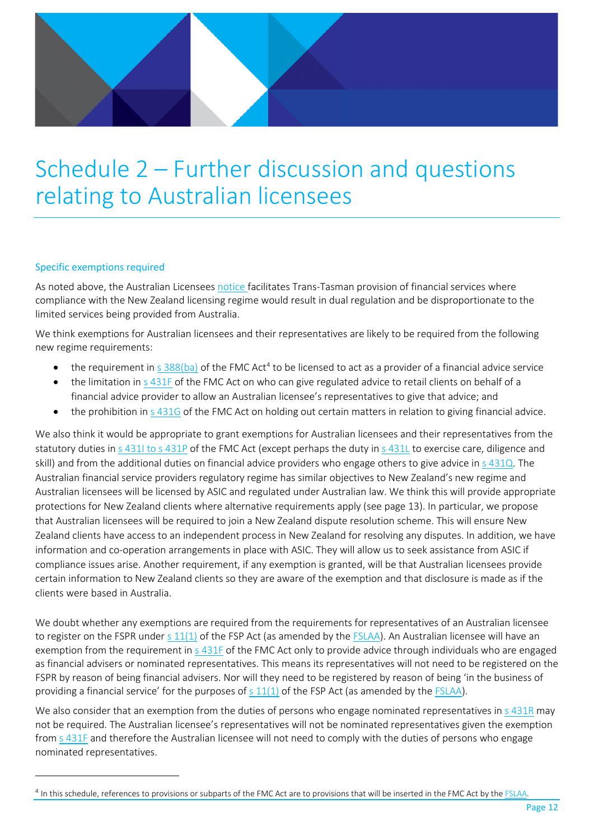# <span id="page-11-0"></span>Schedule 2 – Further discussion and questions relating to Australian licensees

### Specific exemptions required

 $\overline{a}$ 

As noted above, the Australian Licensees [notice](http://www.legislation.govt.nz/regulation/public/2011/0238/latest/whole.html#DLM3848033) facilitates Trans-Tasman provision of financial services where compliance with the New Zealand licensing regime would result in dual regulation and be disproportionate to the limited services being provided from Australia.

We think exemptions for Australian licensees and their representatives are likely to be required from the following new regime requirements:

- the requirement in s  $388(ba)$  of the FMC Act<sup>4</sup> to be licensed to act as a provider of a financial advice service
- the limitation in  $\frac{s}{431F}$  of the FMC Act on who can give regulated advice to retail clients on behalf of a financial advice provider to allow an Australian licensee's representatives to give that advice; and
- the prohibition in [s 431G](http://www.legislation.govt.nz/act/public/2019/0008/latest/whole.html#DLM7386418) of the FMC Act on holding out certain matters in relation to giving financial advice.

We also think it would be appropriate to grant exemptions for Australian licensees and their representatives from the statutory duties i[n s 431I to s 431P](http://www.legislation.govt.nz/act/public/2019/0008/latest/whole.html#DLM7386428) of the FMC Act (except perhaps the duty in [s 431L](http://www.legislation.govt.nz/act/public/2019/0008/latest/whole.html#DLM7386434) to exercise care, diligence and skill) and from the additional duties on financial advice providers who engage others to give advice in [s 431Q.](http://www.legislation.govt.nz/act/public/2019/0008/latest/whole.html#LMS63729) The Australian financial service providers regulatory regime has similar objectives to New Zealand's new regime and Australian licensees will be licensed by ASIC and regulated under Australian law. We think this will provide appropriate protections for New Zealand clients where alternative requirements apply (see page 13). In particular, we propose that Australian licensees will be required to join a New Zealand dispute resolution scheme. This will ensure New Zealand clients have access to an independent process in New Zealand for resolving any disputes. In addition, we have information and co-operation arrangements in place with ASIC. They will allow us to seek assistance from ASIC if compliance issues arise. Another requirement, if any exemption is granted, will be that Australian licensees provide certain information to New Zealand clients so they are aware of the exemption and that disclosure is made as if the clients were based in Australia.

We doubt whether any exemptions are required from the requirements for representatives of an Australian licensee to register on the FSPR under  $s$  11(1) of the FSP Act (as amended by the [FSLAA\)](http://www.legislation.govt.nz/act/public/2019/0008/latest/whole.html). An Australian licensee will have an exemption from the requirement in [s 431F](http://www.legislation.govt.nz/act/public/2019/0008/latest/whole.html#DLM7386417) of the FMC Act only to provide advice through individuals who are engaged as financial advisers or nominated representatives. This means its representatives will not need to be registered on the FSPR by reason of being financial advisers. Nor will they need to be registered by reason of being 'in the business of providing a financial service' for the purposes of  $s$  11(1) of the FSP Act (as amended by the [FSLAA\)](http://www.legislation.govt.nz/act/public/2019/0008/latest/whole.html).

We also consider that an exemption from the duties of persons who engage nominated representatives in [s 431R](http://www.legislation.govt.nz/act/public/2019/0008/latest/whole.html#DLM7386444) may not be required. The Australian licensee's representatives will not be nominated representatives given the exemption from [s 431F](http://www.legislation.govt.nz/act/public/2019/0008/latest/whole.html#DLM7386417) and therefore the Australian licensee will not need to comply with the duties of persons who engage nominated representatives.

<span id="page-11-1"></span><sup>&</sup>lt;sup>4</sup> In this schedule, references to provisions or subparts of the FMC Act are to provisions that will be inserted in the FMC Act by the **FSLAA**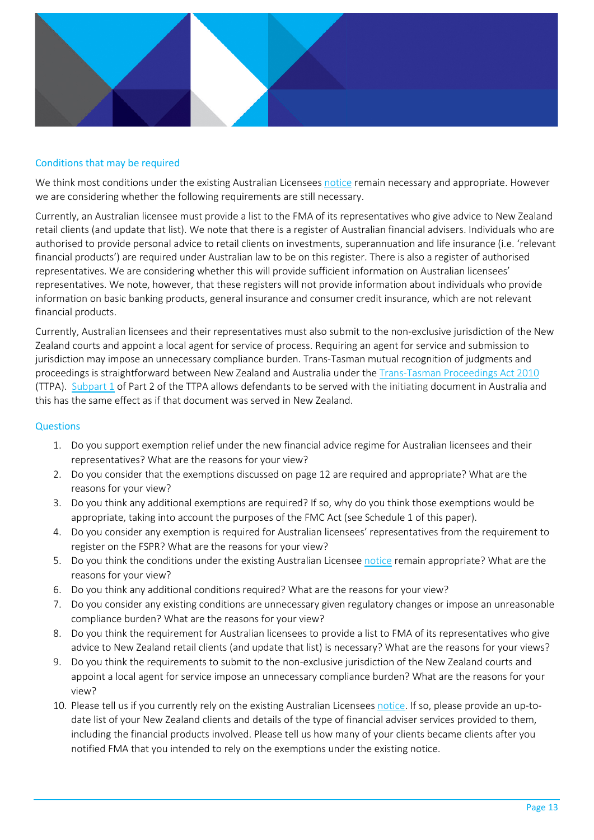

### Conditions that may be required

We think most conditions under the existing Australian Licensees [notice](http://www.legislation.govt.nz/regulation/public/2011/0238/latest/whole.html#DLM3848033) remain necessary and appropriate. However we are considering whether the following requirements are still necessary.

Currently, an Australian licensee must provide a list to the FMA of its representatives who give advice to New Zealand retail clients (and update that list). We note that there is a register of Australian financial advisers. Individuals who are authorised to provide personal advice to retail clients on investments, superannuation and life insurance (i.e. 'relevant financial products') are required under Australian law to be on this register. There is also a register of authorised representatives. We are considering whether this will provide sufficient information on Australian licensees' representatives. We note, however, that these registers will not provide information about individuals who provide information on basic banking products, general insurance and consumer credit insurance, which are not relevant financial products.

Currently, Australian licensees and their representatives must also submit to the non-exclusive jurisdiction of the New Zealand courts and appoint a local agent for service of process. Requiring an agent for service and submission to jurisdiction may impose an unnecessary compliance burden. Trans-Tasman mutual recognition of judgments and proceedings is straightforward between New Zealand and Australia under th[e Trans-Tasman Proceedings Act 2010](http://www.legislation.govt.nz/act/public/1997/0060/latest/DLM410793.html) (TTPA). [Subpart 1](http://legislation.govt.nz/act/public/2010/0108/latest/whole.html?search=sw_096be8ed814ec73b_jurisdiction_25_se&p=1#DLM3121605) of Part 2 of the TTPA allows defendants to be served with the initiating document in Australia and this has the same effect as if that document was served in New Zealand.

### **Questions**

- 1. Do you support exemption relief under the new financial advice regime for Australian licensees and their representatives? What are the reasons for your view?
- 2. Do you consider that the exemptions discussed on page 12 are required and appropriate? What are the reasons for your view?
- 3. Do you think any additional exemptions are required? If so, why do you think those exemptions would be appropriate, taking into account the purposes of the FMC Act (see Schedule 1 of this paper).
- 4. Do you consider any exemption is required for Australian licensees' representatives from the requirement to register on the FSPR? What are the reasons for your view?
- 5. Do you think the conditions under the existing Australian License[e notice](http://www.legislation.govt.nz/regulation/public/2011/0238/latest/whole.html#DLM3848033) remain appropriate? What are the reasons for your view?
- 6. Do you think any additional conditions required? What are the reasons for your view?
- 7. Do you consider any existing conditions are unnecessary given regulatory changes or impose an unreasonable compliance burden? What are the reasons for your view?
- 8. Do you think the requirement for Australian licensees to provide a list to FMA of its representatives who give advice to New Zealand retail clients (and update that list) is necessary? What are the reasons for your views?
- 9. Do you think the requirements to submit to the non-exclusive jurisdiction of the New Zealand courts and appoint a local agent for service impose an unnecessary compliance burden? What are the reasons for your view?
- 10. Please tell us if you currently rely on the existing Australian Licensee[s notice.](http://www.legislation.govt.nz/regulation/public/2011/0238/latest/whole.html#DLM3848033) If so, please provide an up-todate list of your New Zealand clients and details of the type of financial adviser services provided to them, including the financial products involved. Please tell us how many of your clients became clients after you notified FMA that you intended to rely on the exemptions under the existing notice.